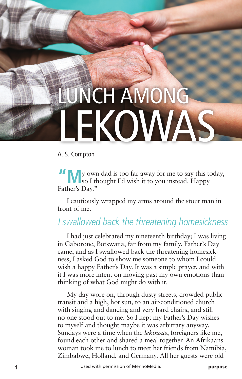## LUNCH AMONG **LEKOWAS**

## A. S. Compton

**"M**y own dad is too far away for me to say this today, so I thought I'd wish it to you instead. Happy Father's Day."

I cautiously wrapped my arms around the stout man in front of me.

## I swallowed back the threatening homesickness

I had just celebrated my nineteenth birthday; I was living in Gaborone, Botswana, far from my family. Father's Day came, and as I swallowed back the threatening homesickness, I asked God to show me someone to whom I could wish a happy Father's Day. It was a simple prayer, and with it I was more intent on moving past my own emotions than thinking of what God might do with it.

My day wore on, through dusty streets, crowded public transit and a high, hot sun, to an air-conditioned church with singing and dancing and very hard chairs, and still no one stood out to me. So I kept my Father's Day wishes to myself and thought maybe it was arbitrary anyway. Sundays were a time when the *lekowas*, foreigners like me, found each other and shared a meal together. An Afrikaans woman took me to lunch to meet her friends from Namibia, Zimbabwe, Holland, and Germany. All her guests were old

4 Used with permission of MennoMedia. **purpose**